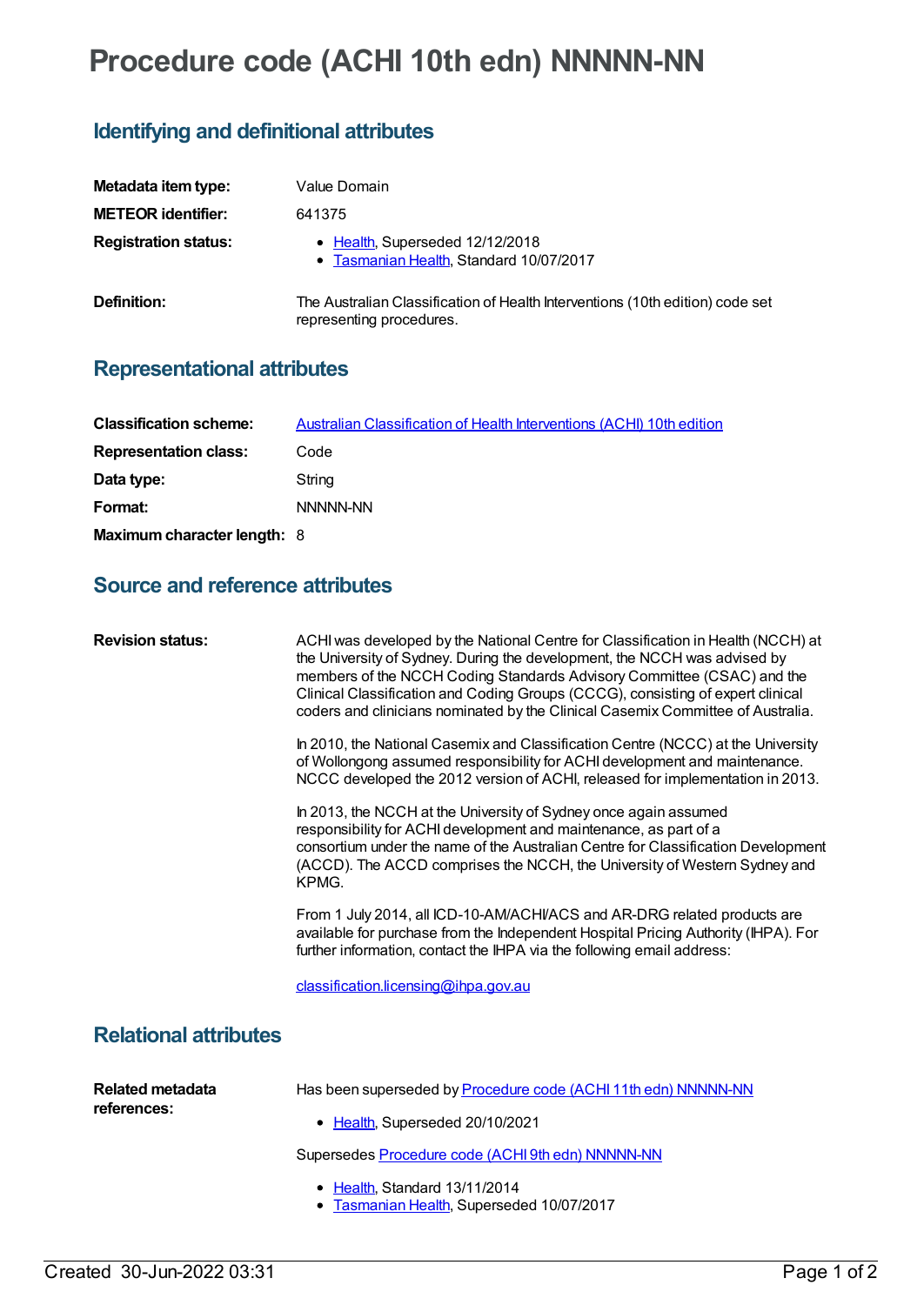# **Procedure code (ACHI 10th edn) NNNNN-NN**

## **Identifying and definitional attributes**

| Metadata item type:         | Value Domain                                                                                              |
|-----------------------------|-----------------------------------------------------------------------------------------------------------|
| <b>METEOR identifier:</b>   | 641375                                                                                                    |
| <b>Registration status:</b> | • Health, Superseded 12/12/2018<br>• Tasmanian Health, Standard 10/07/2017                                |
| Definition:                 | The Australian Classification of Health Interventions (10th edition) code set<br>representing procedures. |

## **Representational attributes**

| <b>Classification scheme:</b> | Australian Classification of Health Interventions (ACHI) 10th edition |
|-------------------------------|-----------------------------------------------------------------------|
| <b>Representation class:</b>  | Code                                                                  |
| Data type:                    | String                                                                |
| Format:                       | NNNNN-NN                                                              |
| Maximum character length: 8   |                                                                       |

#### **Source and reference attributes**

| <b>Revision status:</b>                | ACHI was developed by the National Centre for Classification in Health (NCCH) at<br>the University of Sydney. During the development, the NCCH was advised by<br>members of the NCCH Coding Standards Advisory Committee (CSAC) and the<br>Clinical Classification and Coding Groups (CCCG), consisting of expert clinical<br>coders and clinicians nominated by the Clinical Casemix Committee of Australia. |
|----------------------------------------|---------------------------------------------------------------------------------------------------------------------------------------------------------------------------------------------------------------------------------------------------------------------------------------------------------------------------------------------------------------------------------------------------------------|
|                                        | In 2010, the National Casemix and Classification Centre (NCCC) at the University<br>of Wollongong assumed responsibility for ACHI development and maintenance.<br>NCCC developed the 2012 version of ACHI, released for implementation in 2013.                                                                                                                                                               |
|                                        | In 2013, the NCCH at the University of Sydney once again assumed<br>responsibility for ACHI development and maintenance, as part of a<br>consortium under the name of the Australian Centre for Classification Development<br>(ACCD). The ACCD comprises the NCCH, the University of Western Sydney and<br>KPMG.                                                                                              |
|                                        | From 1 July 2014, all ICD-10-AM/ACHI/ACS and AR-DRG related products are<br>available for purchase from the Independent Hospital Pricing Authority (IHPA). For<br>further information, contact the IHPA via the following email address:                                                                                                                                                                      |
|                                        | classification.licensing@ihpa.gov.au                                                                                                                                                                                                                                                                                                                                                                          |
| <b>Relational attributes</b>           |                                                                                                                                                                                                                                                                                                                                                                                                               |
| <b>Related metadata</b><br>references: | Has been superseded by Procedure code (ACHI 11th edn) NNNNN-NN<br>• Health, Superseded 20/10/2021                                                                                                                                                                                                                                                                                                             |
|                                        | Supersedes Procedure code (ACHI 9th edn) NNNNN-NN                                                                                                                                                                                                                                                                                                                                                             |
|                                        | • Health, Standard 13/11/2014<br>Tasmanian Health, Superseded 10/07/2017<br>٠                                                                                                                                                                                                                                                                                                                                 |
|                                        |                                                                                                                                                                                                                                                                                                                                                                                                               |